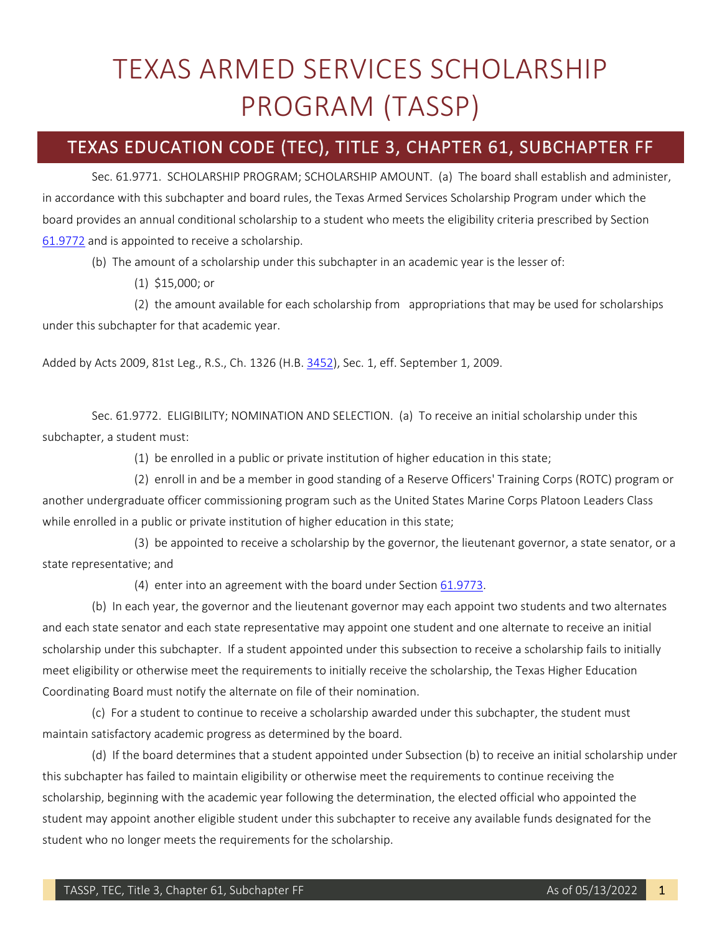## TEXAS ARMED SERVICES SCHOLARSHIP PROGRAM (TASSP)

## TEXAS EDUCATION CODE (TEC), TITLE 3, CHAPTER 61, SUBCHAPTER FF

Sec. 61.9771. SCHOLARSHIP PROGRAM; SCHOLARSHIP AMOUNT. (a) The board shall establish and administer, in accordance with this subchapter and board rules, the Texas Armed Services Scholarship Program under which the board provides an annual conditional scholarship to a student who meets the eligibility criteria prescribed by Section [61.9772](http://www.statutes.legis.state.tx.us/GetStatute.aspx?Code=ED&Value=61.9772) and is appointed to receive a scholarship.

(b) The amount of a scholarship under this subchapter in an academic year is the lesser of:

(1) \$15,000; or

(2) the amount available for each scholarship from appropriations that may be used for scholarships under this subchapter for that academic year.

Added by Acts 2009, 81st Leg., R.S., Ch. 1326 (H.B. [3452\)](http://www.legis.state.tx.us/tlodocs/81R/billtext/html/HB03452F.HTM), Sec. 1, eff. September 1, 2009.

Sec. 61.9772. ELIGIBILITY; NOMINATION AND SELECTION. (a) To receive an initial scholarship under this subchapter, a student must:

(1) be enrolled in a public or private institution of higher education in this state;

(2) enroll in and be a member in good standing of a Reserve Officers' Training Corps (ROTC) program or another undergraduate officer commissioning program such as the United States Marine Corps Platoon Leaders Class while enrolled in a public or private institution of higher education in this state;

(3) be appointed to receive a scholarship by the governor, the lieutenant governor, a state senator, or a state representative; and

(4) enter into an agreement with the board under Sectio[n 61.9773.](http://www.statutes.legis.state.tx.us/GetStatute.aspx?Code=ED&Value=61.9773)

(b) In each year, the governor and the lieutenant governor may each appoint two students and two alternates and each state senator and each state representative may appoint one student and one alternate to receive an initial scholarship under this subchapter. If a student appointed under this subsection to receive a scholarship fails to initially meet eligibility or otherwise meet the requirements to initially receive the scholarship, the Texas Higher Education Coordinating Board must notify the alternate on file of their nomination.

(c) For a student to continue to receive a scholarship awarded under this subchapter, the student must maintain satisfactory academic progress as determined by the board.

(d) If the board determines that a student appointed under Subsection (b) to receive an initial scholarship under this subchapter has failed to maintain eligibility or otherwise meet the requirements to continue receiving the scholarship, beginning with the academic year following the determination, the elected official who appointed the student may appoint another eligible student under this subchapter to receive any available funds designated for the student who no longer meets the requirements for the scholarship.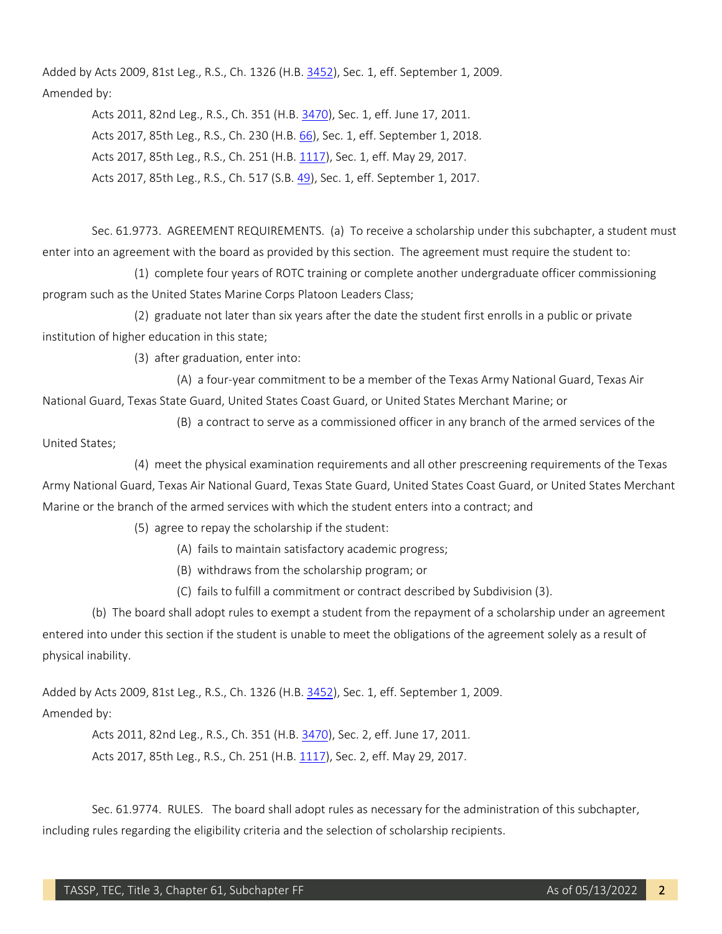Added by Acts 2009, 81st Leg., R.S., Ch. 1326 (H.B. [3452\)](http://www.legis.state.tx.us/tlodocs/81R/billtext/html/HB03452F.HTM), Sec. 1, eff. September 1, 2009. Amended by:

> Acts 2011, 82nd Leg., R.S., Ch. 351 (H.B. [3470\)](http://www.legis.state.tx.us/tlodocs/82R/billtext/html/HB03470F.HTM), Sec. 1, eff. June 17, 2011. Acts 2017, 85th Leg., R.S., Ch. 230 (H.B. [66\)](http://www.legis.state.tx.us/tlodocs/85R/billtext/html/HB00066F.HTM), Sec. 1, eff. September 1, 2018. Acts 2017, 85th Leg., R.S., Ch. 251 (H.B. [1117\)](http://www.legis.state.tx.us/tlodocs/85R/billtext/html/HB01117F.HTM), Sec. 1, eff. May 29, 2017. Acts 2017, 85th Leg., R.S., Ch. 517 (S.B. [49\)](http://www.legis.state.tx.us/tlodocs/85R/billtext/html/SB00049F.HTM), Sec. 1, eff. September 1, 2017.

Sec. 61.9773. AGREEMENT REQUIREMENTS. (a) To receive a scholarship under this subchapter, a student must enter into an agreement with the board as provided by this section. The agreement must require the student to:

(1) complete four years of ROTC training or complete another undergraduate officer commissioning program such as the United States Marine Corps Platoon Leaders Class;

(2) graduate not later than six years after the date the student first enrolls in a public or private institution of higher education in this state;

(3) after graduation, enter into:

(A) a four-year commitment to be a member of the Texas Army National Guard, Texas Air National Guard, Texas State Guard, United States Coast Guard, or United States Merchant Marine; or

(B) a contract to serve as a commissioned officer in any branch of the armed services of the

United States;

(4) meet the physical examination requirements and all other prescreening requirements of the Texas Army National Guard, Texas Air National Guard, Texas State Guard, United States Coast Guard, or United States Merchant Marine or the branch of the armed services with which the student enters into a contract; and

(5) agree to repay the scholarship if the student:

- (A) fails to maintain satisfactory academic progress;
- (B) withdraws from the scholarship program; or
- (C) fails to fulfill a commitment or contract described by Subdivision (3).

(b) The board shall adopt rules to exempt a student from the repayment of a scholarship under an agreement entered into under this section if the student is unable to meet the obligations of the agreement solely as a result of physical inability.

Added by Acts 2009, 81st Leg., R.S., Ch. 1326 (H.B. [3452\)](http://www.legis.state.tx.us/tlodocs/81R/billtext/html/HB03452F.HTM), Sec. 1, eff. September 1, 2009. Amended by:

> Acts 2011, 82nd Leg., R.S., Ch. 351 (H.B. [3470\)](http://www.legis.state.tx.us/tlodocs/82R/billtext/html/HB03470F.HTM), Sec. 2, eff. June 17, 2011. Acts 2017, 85th Leg., R.S., Ch. 251 (H.B. [1117\)](http://www.legis.state.tx.us/tlodocs/85R/billtext/html/HB01117F.HTM), Sec. 2, eff. May 29, 2017.

Sec. 61.9774. RULES. The board shall adopt rules as necessary for the administration of this subchapter, including rules regarding the eligibility criteria and the selection of scholarship recipients.